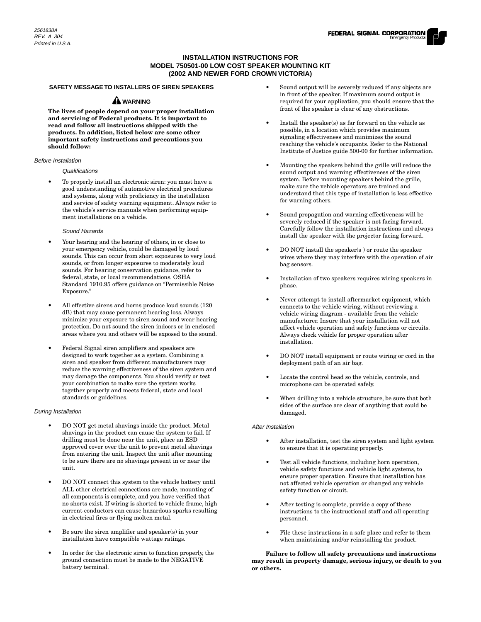# **INSTALLATION INSTRUCTIONS FOR MODEL 750501-00 LOW COST SPEAKER MOUNTING KIT (2002 AND NEWER FORD CROWN VICTORIA)**

# **SAFETY MESSAGE TO INSTALLERS OF SIREN SPEAKERS**

# **A** WARNING

**The lives of people depend on your proper installation and servicing of Federal products. It is important to read and follow all instructions shipped with the products. In addition, listed below are some other important safety instructions and precautions you should follow:**

# Before Installation

#### Qualifications

• To properly install an electronic siren: you must have a good understanding of automotive electrical procedures and systems, along with proficiency in the installation and service of safety warning equipment. Always refer to the vehicle's service manuals when performing equipment installations on a vehicle.

#### Sound Hazards

- Your hearing and the hearing of others, in or close to your emergency vehicle, could be damaged by loud sounds. This can occur from short exposures to very loud sounds, or from longer exposures to moderately loud sounds. For hearing conservation guidance, refer to federal, state, or local recommendations. OSHA Standard 1910.95 offers guidance on "Permissible Noise Exposure."
- All effective sirens and horns produce loud sounds (120 dB) that may cause permanent hearing loss. Always minimize your exposure to siren sound and wear hearing protection. Do not sound the siren indoors or in enclosed areas where you and others will be exposed to the sound.
- Federal Signal siren amplifiers and speakers are designed to work together as a system. Combining a siren and speaker from different manufacturers may reduce the warning effectiveness of the siren system and may damage the components. You should verify or test your combination to make sure the system works together properly and meets federal, state and local standards or guidelines.

### During Installation

- DO NOT get metal shavings inside the product. Metal shavings in the product can cause the system to fail. If drilling must be done near the unit, place an ESD approved cover over the unit to prevent metal shavings from entering the unit. Inspect the unit after mounting to be sure there are no shavings present in or near the unit.
- DO NOT connect this system to the vehicle battery until ALL other electrical connections are made, mounting of all components is complete, and you have verified that no shorts exist. If wiring is shorted to vehicle frame, high current conductors can cause hazardous sparks resulting in electrical fires or flying molten metal.
- Be sure the siren amplifier and speaker(s) in your installation have compatible wattage ratings.
- In order for the electronic siren to function properly, the ground connection must be made to the NEGATIVE battery terminal.
- Sound output will be severely reduced if any objects are in front of the speaker. If maximum sound output is required for your application, you should ensure that the front of the speaker is clear of any obstructions.
- Install the speaker(s) as far forward on the vehicle as possible, in a location which provides maximum signaling effectiveness and minimizes the sound reaching the vehicle's occupants. Refer to the National Institute of Justice guide 500-00 for further information.
- Mounting the speakers behind the grille will reduce the sound output and warning effectiveness of the siren system. Before mounting speakers behind the grille, make sure the vehicle operators are trained and understand that this type of installation is less effective for warning others.
- Sound propagation and warning effectiveness will be severely reduced if the speaker is not facing forward. Carefully follow the installation instructions and always install the speaker with the projector facing forward.
- DO NOT install the speaker(s) or route the speaker wires where they may interfere with the operation of air bag sensors.
- Installation of two speakers requires wiring speakers in phase.
- Never attempt to install aftermarket equipment, which connects to the vehicle wiring, without reviewing a vehicle wiring diagram - available from the vehicle manufacturer. Insure that your installation will not affect vehicle operation and safety functions or circuits. Always check vehicle for proper operation after installation.
- DO NOT install equipment or route wiring or cord in the deployment path of an air bag.
- Locate the control head so the vehicle, controls, and microphone can be operated safely.
- When drilling into a vehicle structure, be sure that both sides of the surface are clear of anything that could be damaged.

### After Installation

- After installation, test the siren system and light system to ensure that it is operating properly.
- Test all vehicle functions, including horn operation, vehicle safety functions and vehicle light systems, to ensure proper operation. Ensure that installation has not affected vehicle operation or changed any vehicle safety function or circuit.
- After testing is complete, provide a copy of these instructions to the instructional staff and all operating personnel.
- File these instructions in a safe place and refer to them when maintaining and/or reinstalling the product.

**Failure to follow all safety precautions and instructions may result in property damage, serious injury, or death to you or others.**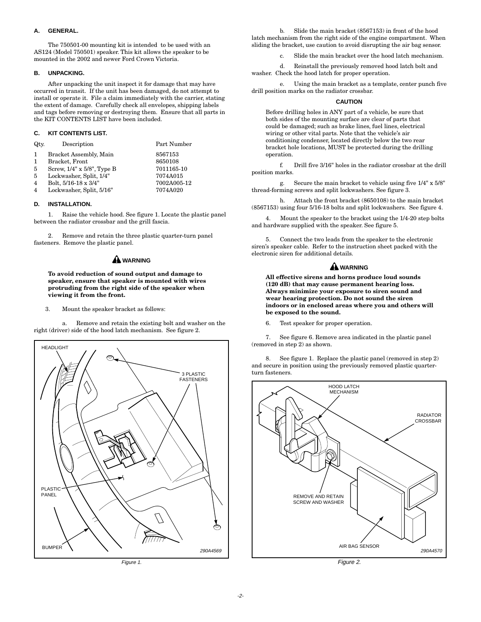## **A. GENERAL.**

The 750501-00 mounting kit is intended to be used with an AS124 (Model 750501) speaker. This kit allows the speaker to be mounted in the 2002 and newer Ford Crown Victoria.

# **B. UNPACKING.**

After unpacking the unit inspect it for damage that may have occurred in transit. If the unit has been damaged, do not attempt to install or operate it. File a claim immediately with the carrier, stating the extent of damage. Carefully check all envelopes, shipping labels and tags before removing or destroying them. Ensure that all parts in the KIT CONTENTS LIST have been included.

## **C. KIT CONTENTS LIST.**

| Qtv.           | Description                | Part Number |
|----------------|----------------------------|-------------|
| 1.             | Bracket Assembly, Main     | 8567153     |
| 1              | Bracket, Front             | 8650108     |
| 5              | Screw, 1/4" x 5/8", Type B | 7011165-10  |
| 5              | Lockwasher, Split, 1/4"    | 7074A015    |
| $\overline{4}$ | Bolt, 5/16-18 x 3/4"       | 7002A005-12 |
| 4              | Lockwasher, Split, 5/16"   | 7074A020    |

#### **D. INSTALLATION.**

1. Raise the vehicle hood. See figure 1. Locate the plastic panel between the radiator crossbar and the grill fascia.

2. Remove and retain the three plastic quarter-turn panel fasteners. Remove the plastic panel.

# **WARNING**

### **To avoid reduction of sound output and damage to speaker, ensure that speaker is mounted with wires protruding from the right side of the speaker when viewing it from the front.**

#### 3. Mount the speaker bracket as follows:

a. Remove and retain the existing bolt and washer on the right (driver) side of the hood latch mechanism. See figure 2.



Figure 1.

b. Slide the main bracket (8567153) in front of the hood latch mechanism from the right side of the engine compartment. When sliding the bracket, use caution to avoid disrupting the air bag sensor.

Slide the main bracket over the hood latch mechanism.

d. Reinstall the previously removed hood latch bolt and washer. Check the hood latch for proper operation.

e. Using the main bracket as a template, center punch five drill position marks on the radiator crossbar.

#### **CAUTION**

Before drilling holes in ANY part of a vehicle, be sure that both sides of the mounting surface are clear of parts that could be damaged; such as brake lines, fuel lines, electrical wiring or other vital parts. Note that the vehicle's air conditioning condenser, located directly below the two rear bracket hole locations, MUST be protected during the drilling operation.

f. Drill five 3/16" holes in the radiator crossbar at the drill position marks.

g. Secure the main bracket to vehicle using five 1/4" x 5/8" thread-forming screws and split lockwashers. See figure 3.

h. Attach the front bracket (8650108) to the main bracket (8567153) using four 5/16-18 bolts and split lockwashers. See figure 4.

4. Mount the speaker to the bracket using the 1/4-20 step bolts and hardware supplied with the speaker. See figure 5.

5. Connect the two leads from the speaker to the electronic siren's speaker cable. Refer to the instruction sheet packed with the electronic siren for additional details.

# **WARNING**

**All effective sirens and horns produce loud sounds (120 dB) that may cause permanent hearing loss. Always minimize your exposure to siren sound and wear hearing protection. Do not sound the siren indoors or in enclosed areas where you and others will be exposed to the sound.**

6. Test speaker for proper operation.

7. See figure 6. Remove area indicated in the plastic panel (removed in step 2) as shown.

8. See figure 1. Replace the plastic panel (removed in step 2) and secure in position using the previously removed plastic quarterturn fasteners.



Figure 2.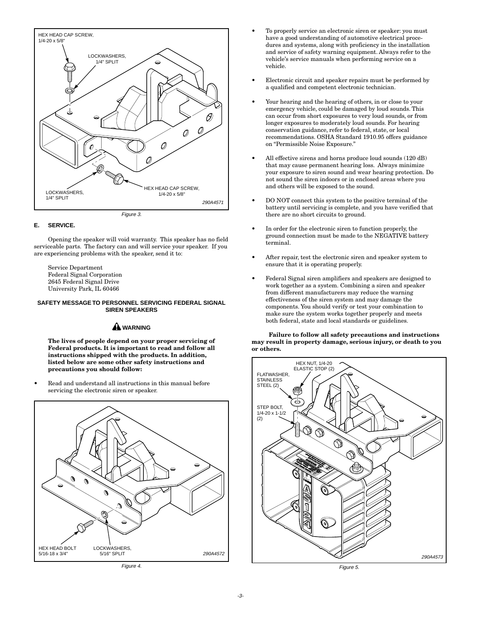

### **E. SERVICE.**

Opening the speaker will void warranty. This speaker has no field serviceable parts. The factory can and will service your speaker. If you are experiencing problems with the speaker, send it to:

Service Department Federal Signal Corporation 2645 Federal Signal Drive University Park, IL 60466

#### **SAFETY MESSAGE TO PERSONNEL SERVICING FEDERAL SIGNAL SIREN SPEAKERS**

# **WARNING**

**The lives of people depend on your proper servicing of Federal products. It is important to read and follow all instructions shipped with the products. In addition, listed below are some other safety instructions and precautions you should follow:**

• Read and understand all instructions in this manual before servicing the electronic siren or speaker.



- To properly service an electronic siren or speaker: you must have a good understanding of automotive electrical procedures and systems, along with proficiency in the installation and service of safety warning equipment. Always refer to the vehicle's service manuals when performing service on a vehicle.
- Electronic circuit and speaker repairs must be performed by a qualified and competent electronic technician.
- Your hearing and the hearing of others, in or close to your emergency vehicle, could be damaged by loud sounds. This can occur from short exposures to very loud sounds, or from longer exposures to moderately loud sounds. For hearing conservation guidance, refer to federal, state, or local recommendations. OSHA Standard 1910.95 offers guidance on "Permissible Noise Exposure."
- All effective sirens and horns produce loud sounds (120 dB) that may cause permanent hearing loss. Always minimize your exposure to siren sound and wear hearing protection. Do not sound the siren indoors or in enclosed areas where you and others will be exposed to the sound.
- DO NOT connect this system to the positive terminal of the battery until servicing is complete, and you have verified that there are no short circuits to ground.
- In order for the electronic siren to function properly, the ground connection must be made to the NEGATIVE battery terminal.
- After repair, test the electronic siren and speaker system to ensure that it is operating properly.
- Federal Signal siren amplifiers and speakers are designed to work together as a system. Combining a siren and speaker from different manufacturers may reduce the warning effectiveness of the siren system and may damage the components. You should verify or test your combination to make sure the system works together properly and meets both federal, state and local standards or guidelines.

### **Failure to follow all safety precautions and instructions may result in property damage, serious injury, or death to you or others.**